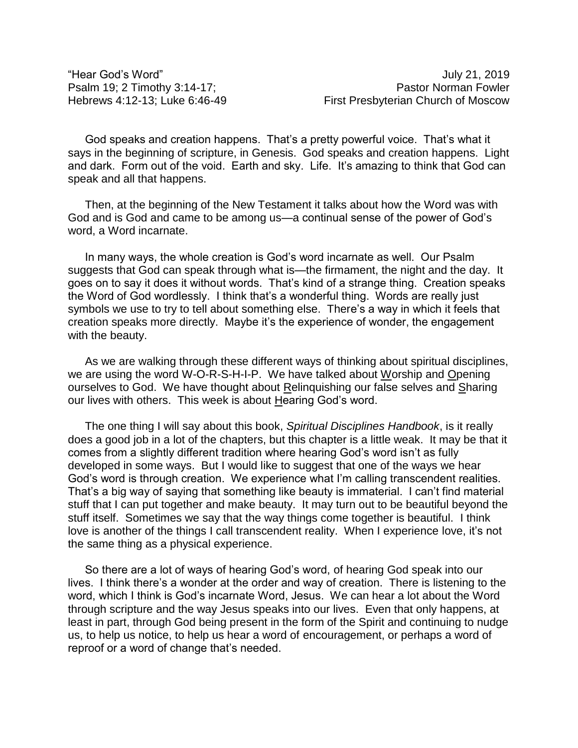"Hear God's Word" July 21, 2019

God speaks and creation happens. That's a pretty powerful voice. That's what it says in the beginning of scripture, in Genesis. God speaks and creation happens. Light and dark. Form out of the void. Earth and sky. Life. It's amazing to think that God can speak and all that happens.

Then, at the beginning of the New Testament it talks about how the Word was with God and is God and came to be among us—a continual sense of the power of God's word, a Word incarnate.

In many ways, the whole creation is God's word incarnate as well. Our Psalm suggests that God can speak through what is—the firmament, the night and the day. It goes on to say it does it without words. That's kind of a strange thing. Creation speaks the Word of God wordlessly. I think that's a wonderful thing. Words are really just symbols we use to try to tell about something else. There's a way in which it feels that creation speaks more directly. Maybe it's the experience of wonder, the engagement with the beauty.

As we are walking through these different ways of thinking about spiritual disciplines, we are using the word W-O-R-S-H-I-P. We have talked about Worship and Opening ourselves to God. We have thought about Relinquishing our false selves and Sharing our lives with others. This week is about Hearing God's word.

The one thing I will say about this book, *Spiritual Disciplines Handbook*, is it really does a good job in a lot of the chapters, but this chapter is a little weak. It may be that it comes from a slightly different tradition where hearing God's word isn't as fully developed in some ways. But I would like to suggest that one of the ways we hear God's word is through creation. We experience what I'm calling transcendent realities. That's a big way of saying that something like beauty is immaterial. I can't find material stuff that I can put together and make beauty. It may turn out to be beautiful beyond the stuff itself. Sometimes we say that the way things come together is beautiful. I think love is another of the things I call transcendent reality. When I experience love, it's not the same thing as a physical experience.

So there are a lot of ways of hearing God's word, of hearing God speak into our lives. I think there's a wonder at the order and way of creation. There is listening to the word, which I think is God's incarnate Word, Jesus. We can hear a lot about the Word through scripture and the way Jesus speaks into our lives. Even that only happens, at least in part, through God being present in the form of the Spirit and continuing to nudge us, to help us notice, to help us hear a word of encouragement, or perhaps a word of reproof or a word of change that's needed.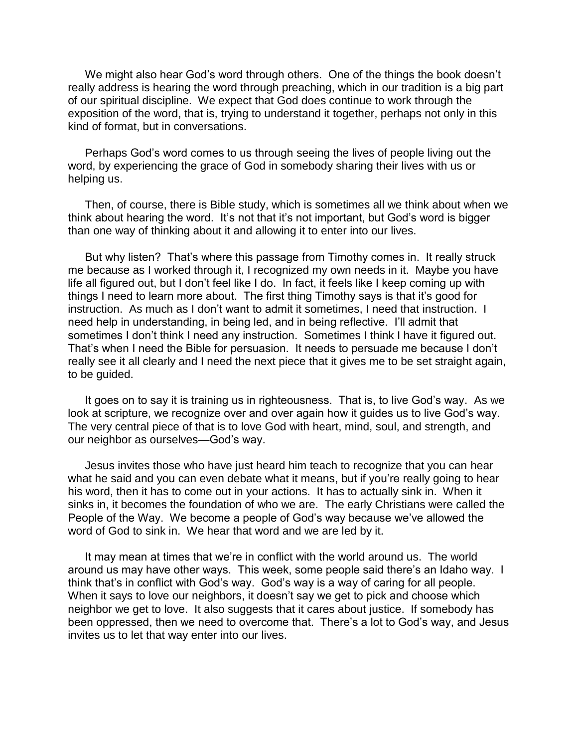We might also hear God's word through others. One of the things the book doesn't really address is hearing the word through preaching, which in our tradition is a big part of our spiritual discipline. We expect that God does continue to work through the exposition of the word, that is, trying to understand it together, perhaps not only in this kind of format, but in conversations.

Perhaps God's word comes to us through seeing the lives of people living out the word, by experiencing the grace of God in somebody sharing their lives with us or helping us.

Then, of course, there is Bible study, which is sometimes all we think about when we think about hearing the word. It's not that it's not important, but God's word is bigger than one way of thinking about it and allowing it to enter into our lives.

But why listen? That's where this passage from Timothy comes in. It really struck me because as I worked through it, I recognized my own needs in it. Maybe you have life all figured out, but I don't feel like I do. In fact, it feels like I keep coming up with things I need to learn more about. The first thing Timothy says is that it's good for instruction. As much as I don't want to admit it sometimes, I need that instruction. I need help in understanding, in being led, and in being reflective. I'll admit that sometimes I don't think I need any instruction. Sometimes I think I have it figured out. That's when I need the Bible for persuasion. It needs to persuade me because I don't really see it all clearly and I need the next piece that it gives me to be set straight again, to be guided.

It goes on to say it is training us in righteousness. That is, to live God's way. As we look at scripture, we recognize over and over again how it guides us to live God's way. The very central piece of that is to love God with heart, mind, soul, and strength, and our neighbor as ourselves—God's way.

Jesus invites those who have just heard him teach to recognize that you can hear what he said and you can even debate what it means, but if you're really going to hear his word, then it has to come out in your actions. It has to actually sink in. When it sinks in, it becomes the foundation of who we are. The early Christians were called the People of the Way. We become a people of God's way because we've allowed the word of God to sink in. We hear that word and we are led by it.

It may mean at times that we're in conflict with the world around us. The world around us may have other ways. This week, some people said there's an Idaho way. I think that's in conflict with God's way. God's way is a way of caring for all people. When it says to love our neighbors, it doesn't say we get to pick and choose which neighbor we get to love. It also suggests that it cares about justice. If somebody has been oppressed, then we need to overcome that. There's a lot to God's way, and Jesus invites us to let that way enter into our lives.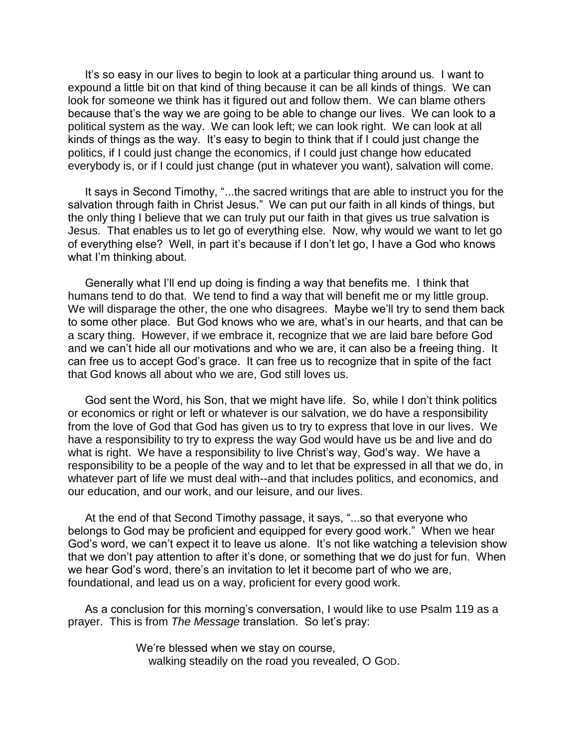It's so easy in our lives to begin to look at a particular thing around us. I want to expound a little bit on that kind of thing because it can be all kinds of things. We can look for someone we think has it figured out and follow them. We can blame others because that's the way we are going to be able to change our lives. We can look to a political system as the way. We can look left; we can look right. We can look at all kinds of things as the way. It's easy to begin to think that if I could just change the politics, if I could just change the economics, if I could just change how educated everybody is, or if I could just change (put in whatever you want), salvation will come.

It says in Second Timothy, "...the sacred writings that are able to instruct you for the salvation through faith in Christ Jesus." We can put our faith in all kinds of things, but the only thing I believe that we can truly put our faith in that gives us true salvation is Jesus. That enables us to let go of everything else. Now, why would we want to let go of everything else? Well, in part it's because if I don't let go, I have a God who knows what I'm thinking about.

Generally what I'll end up doing is finding a way that benefits me. I think that humans tend to do that. We tend to find a way that will benefit me or my little group. We will disparage the other, the one who disagrees. Maybe we'll try to send them back to some other place. But God knows who we are, what's in our hearts, and that can be a scary thing. However, if we embrace it, recognize that we are laid bare before God and we can't hide all our motivations and who we are, it can also be a freeing thing. It can free us to accept God's grace. It can free us to recognize that in spite of the fact that God knows all about who we are, God still loves us.

God sent the Word, his Son, that we might have life. So, while I don't think politics or economics or right or left or whatever is our salvation, we do have a responsibility from the love of God that God has given us to try to express that love in our lives. We have a responsibility to try to express the way God would have us be and live and do what is right. We have a responsibility to live Christ's way, God's way. We have a responsibility to be a people of the way and to let that be expressed in all that we do, in whatever part of life we must deal with--and that includes politics, and economics, and our education, and our work, and our leisure, and our lives.

At the end of that Second Timothy passage, it says, "...so that everyone who belongs to God may be proficient and equipped for every good work." When we hear God's word, we can't expect it to leave us alone. It's not like watching a television show that we don't pay attention to after it's done, or something that we do just for fun. When we hear God's word, there's an invitation to let it become part of who we are, foundational, and lead us on a way, proficient for every good work.

As a conclusion for this morning's conversation, I would like to use Psalm 119 as a prayer. This is from *The Message* translation. So let's pray:

> We're blessed when we stay on course, walking steadily on the road you revealed, O GOD.